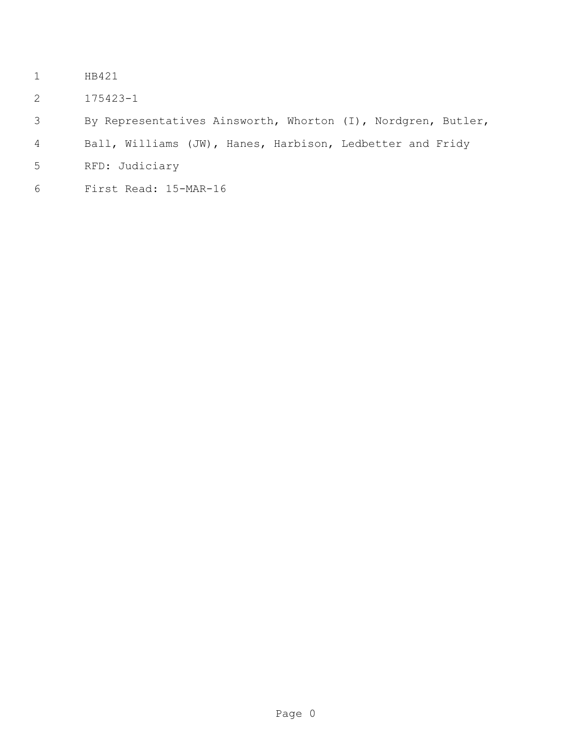- HB421
- 175423-1
- By Representatives Ainsworth, Whorton (I), Nordgren, Butler,
- Ball, Williams (JW), Hanes, Harbison, Ledbetter and Fridy
- RFD: Judiciary
- First Read: 15-MAR-16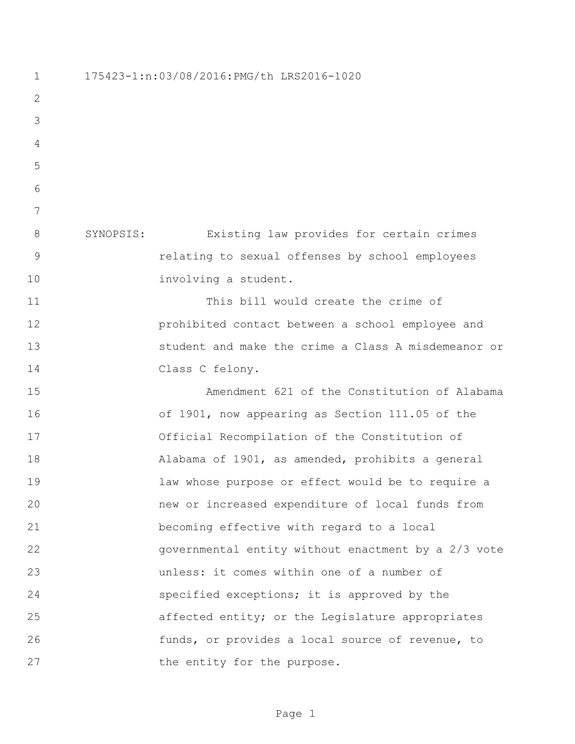175423-1:n:03/08/2016:PMG/th LRS2016-1020 SYNOPSIS: Existing law provides for certain crimes relating to sexual offenses by school employees involving a student. This bill would create the crime of prohibited contact between a school employee and student and make the crime a Class A misdemeanor or Class C felony. Amendment 621 of the Constitution of Alabama of 1901, now appearing as Section 111.05 of the Official Recompilation of the Constitution of Alabama of 1901, as amended, prohibits a general law whose purpose or effect would be to require a new or increased expenditure of local funds from becoming effective with regard to a local governmental entity without enactment by a 2/3 vote unless: it comes within one of a number of specified exceptions; it is approved by the affected entity; or the Legislature appropriates funds, or provides a local source of revenue, to 27 the entity for the purpose.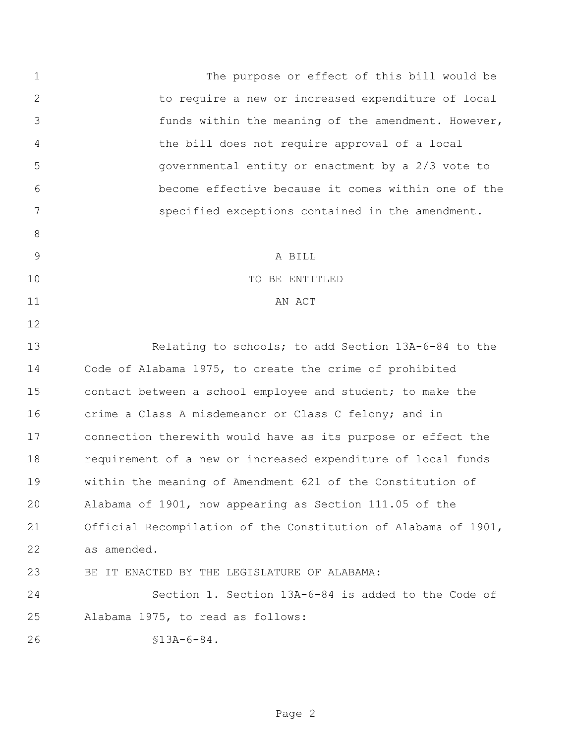The purpose or effect of this bill would be to require a new or increased expenditure of local funds within the meaning of the amendment. However, the bill does not require approval of a local governmental entity or enactment by a 2/3 vote to become effective because it comes within one of the specified exceptions contained in the amendment. A BILL 10 TO BE ENTITLED 11 AN ACT 13 Relating to schools; to add Section 13A-6-84 to the Code of Alabama 1975, to create the crime of prohibited contact between a school employee and student; to make the crime a Class A misdemeanor or Class C felony; and in connection therewith would have as its purpose or effect the requirement of a new or increased expenditure of local funds within the meaning of Amendment 621 of the Constitution of Alabama of 1901, now appearing as Section 111.05 of the Official Recompilation of the Constitution of Alabama of 1901, as amended. BE IT ENACTED BY THE LEGISLATURE OF ALABAMA: Section 1. Section 13A-6-84 is added to the Code of Alabama 1975, to read as follows: §13A-6-84.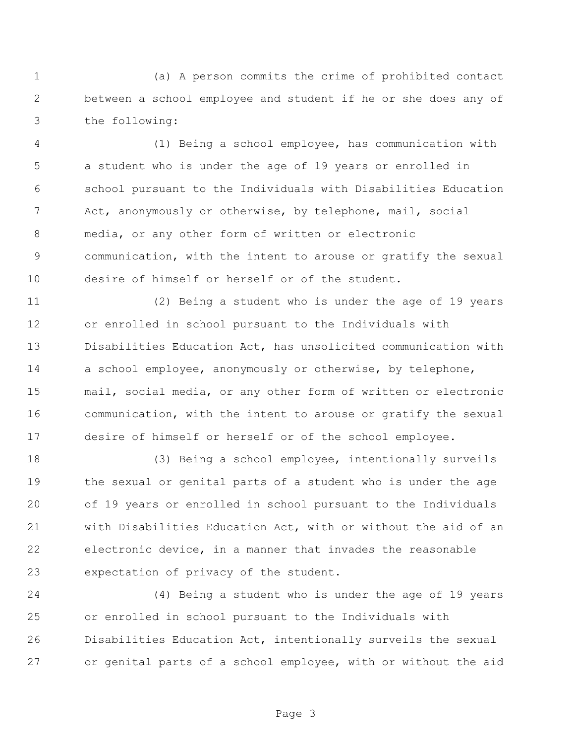(a) A person commits the crime of prohibited contact between a school employee and student if he or she does any of the following:

 (1) Being a school employee, has communication with a student who is under the age of 19 years or enrolled in school pursuant to the Individuals with Disabilities Education Act, anonymously or otherwise, by telephone, mail, social media, or any other form of written or electronic communication, with the intent to arouse or gratify the sexual desire of himself or herself or of the student.

 (2) Being a student who is under the age of 19 years or enrolled in school pursuant to the Individuals with Disabilities Education Act, has unsolicited communication with 14 a school employee, anonymously or otherwise, by telephone, mail, social media, or any other form of written or electronic communication, with the intent to arouse or gratify the sexual desire of himself or herself or of the school employee.

 (3) Being a school employee, intentionally surveils the sexual or genital parts of a student who is under the age of 19 years or enrolled in school pursuant to the Individuals with Disabilities Education Act, with or without the aid of an electronic device, in a manner that invades the reasonable expectation of privacy of the student.

 (4) Being a student who is under the age of 19 years or enrolled in school pursuant to the Individuals with Disabilities Education Act, intentionally surveils the sexual or genital parts of a school employee, with or without the aid

Page 3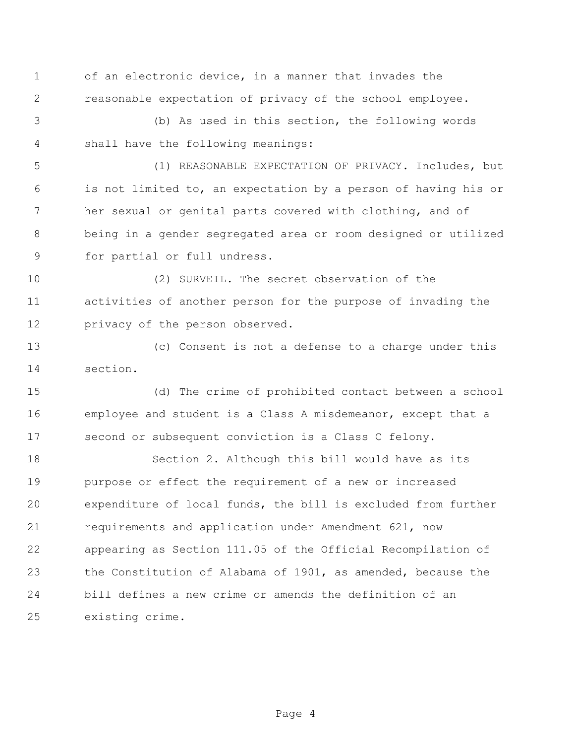of an electronic device, in a manner that invades the reasonable expectation of privacy of the school employee.

 (b) As used in this section, the following words shall have the following meanings:

 (1) REASONABLE EXPECTATION OF PRIVACY. Includes, but is not limited to, an expectation by a person of having his or her sexual or genital parts covered with clothing, and of being in a gender segregated area or room designed or utilized for partial or full undress.

 (2) SURVEIL. The secret observation of the activities of another person for the purpose of invading the privacy of the person observed.

 (c) Consent is not a defense to a charge under this section.

 (d) The crime of prohibited contact between a school employee and student is a Class A misdemeanor, except that a second or subsequent conviction is a Class C felony.

 Section 2. Although this bill would have as its purpose or effect the requirement of a new or increased expenditure of local funds, the bill is excluded from further requirements and application under Amendment 621, now appearing as Section 111.05 of the Official Recompilation of the Constitution of Alabama of 1901, as amended, because the bill defines a new crime or amends the definition of an existing crime.